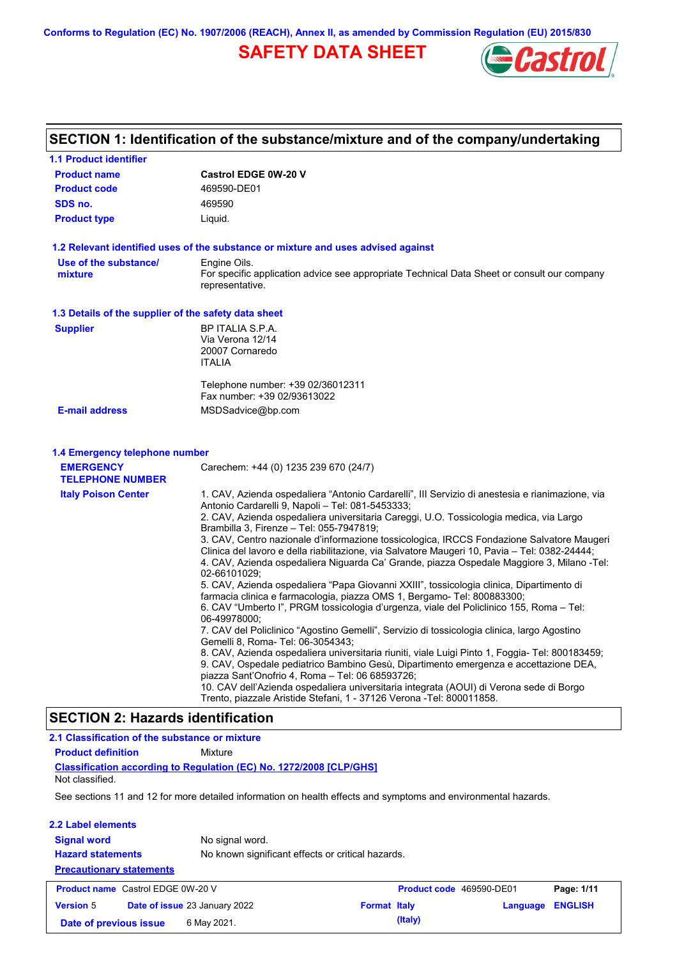**Conforms to Regulation (EC) No. 1907/2006 (REACH), Annex II, as amended by Commission Regulation (EU) 2015/830**

# **SAFETY DATA SHEET**



## **SECTION 1: Identification of the substance/mixture and of the company/undertaking**

| <b>1.1 Product identifier</b>                                                 |                                                                                                                                                                                                                                                                                                                                                                                                                                                                                                                                                                                                                                                                                                                                                                                                                                                                                                                                                                                                                                                                                                                                                                                                                                                                                                                                                                                                                                             |
|-------------------------------------------------------------------------------|---------------------------------------------------------------------------------------------------------------------------------------------------------------------------------------------------------------------------------------------------------------------------------------------------------------------------------------------------------------------------------------------------------------------------------------------------------------------------------------------------------------------------------------------------------------------------------------------------------------------------------------------------------------------------------------------------------------------------------------------------------------------------------------------------------------------------------------------------------------------------------------------------------------------------------------------------------------------------------------------------------------------------------------------------------------------------------------------------------------------------------------------------------------------------------------------------------------------------------------------------------------------------------------------------------------------------------------------------------------------------------------------------------------------------------------------|
| <b>Product name</b>                                                           | <b>Castrol EDGE 0W-20 V</b>                                                                                                                                                                                                                                                                                                                                                                                                                                                                                                                                                                                                                                                                                                                                                                                                                                                                                                                                                                                                                                                                                                                                                                                                                                                                                                                                                                                                                 |
| <b>Product code</b>                                                           | 469590-DE01                                                                                                                                                                                                                                                                                                                                                                                                                                                                                                                                                                                                                                                                                                                                                                                                                                                                                                                                                                                                                                                                                                                                                                                                                                                                                                                                                                                                                                 |
| SDS no.                                                                       | 469590                                                                                                                                                                                                                                                                                                                                                                                                                                                                                                                                                                                                                                                                                                                                                                                                                                                                                                                                                                                                                                                                                                                                                                                                                                                                                                                                                                                                                                      |
| <b>Product type</b>                                                           | Liquid.                                                                                                                                                                                                                                                                                                                                                                                                                                                                                                                                                                                                                                                                                                                                                                                                                                                                                                                                                                                                                                                                                                                                                                                                                                                                                                                                                                                                                                     |
|                                                                               | 1.2 Relevant identified uses of the substance or mixture and uses advised against                                                                                                                                                                                                                                                                                                                                                                                                                                                                                                                                                                                                                                                                                                                                                                                                                                                                                                                                                                                                                                                                                                                                                                                                                                                                                                                                                           |
| Use of the substance/<br>mixture                                              | Engine Oils.<br>For specific application advice see appropriate Technical Data Sheet or consult our company<br>representative.                                                                                                                                                                                                                                                                                                                                                                                                                                                                                                                                                                                                                                                                                                                                                                                                                                                                                                                                                                                                                                                                                                                                                                                                                                                                                                              |
| 1.3 Details of the supplier of the safety data sheet                          |                                                                                                                                                                                                                                                                                                                                                                                                                                                                                                                                                                                                                                                                                                                                                                                                                                                                                                                                                                                                                                                                                                                                                                                                                                                                                                                                                                                                                                             |
| <b>Supplier</b>                                                               | BP ITALIA S.P.A.<br>Via Verona 12/14<br>20007 Cornaredo<br><b>ITALIA</b>                                                                                                                                                                                                                                                                                                                                                                                                                                                                                                                                                                                                                                                                                                                                                                                                                                                                                                                                                                                                                                                                                                                                                                                                                                                                                                                                                                    |
|                                                                               | Telephone number: +39 02/36012311<br>Fax number: +39 02/93613022                                                                                                                                                                                                                                                                                                                                                                                                                                                                                                                                                                                                                                                                                                                                                                                                                                                                                                                                                                                                                                                                                                                                                                                                                                                                                                                                                                            |
| <b>E-mail address</b>                                                         | MSDSadvice@bp.com                                                                                                                                                                                                                                                                                                                                                                                                                                                                                                                                                                                                                                                                                                                                                                                                                                                                                                                                                                                                                                                                                                                                                                                                                                                                                                                                                                                                                           |
| 1.4 Emergency telephone number<br><b>EMERGENCY</b><br><b>TELEPHONE NUMBER</b> | Carechem: +44 (0) 1235 239 670 (24/7)                                                                                                                                                                                                                                                                                                                                                                                                                                                                                                                                                                                                                                                                                                                                                                                                                                                                                                                                                                                                                                                                                                                                                                                                                                                                                                                                                                                                       |
| <b>Italy Poison Center</b>                                                    | 1. CAV, Azienda ospedaliera "Antonio Cardarelli", III Servizio di anestesia e rianimazione, via<br>Antonio Cardarelli 9, Napoli - Tel: 081-5453333;<br>2. CAV, Azienda ospedaliera universitaria Careggi, U.O. Tossicologia medica, via Largo<br>Brambilla 3, Firenze - Tel: 055-7947819;<br>3. CAV, Centro nazionale d'informazione tossicologica, IRCCS Fondazione Salvatore Maugeri<br>Clinica del lavoro e della riabilitazione, via Salvatore Maugeri 10, Pavia – Tel: 0382-24444;<br>4. CAV, Azienda ospedaliera Niguarda Ca' Grande, piazza Ospedale Maggiore 3, Milano -Tel:<br>02-66101029;<br>5. CAV, Azienda ospedaliera "Papa Giovanni XXIII", tossicologia clinica, Dipartimento di<br>farmacia clinica e farmacologia, piazza OMS 1, Bergamo- Tel: 800883300;<br>6. CAV "Umberto I", PRGM tossicologia d'urgenza, viale del Policlinico 155, Roma – Tel:<br>06-49978000:<br>7. CAV del Policlinico "Agostino Gemelli", Servizio di tossicologia clinica, largo Agostino<br>Gemelli 8, Roma- Tel: 06-3054343;<br>8. CAV, Azienda ospedaliera universitaria riuniti, viale Luigi Pinto 1, Foggia- Tel: 800183459;<br>9. CAV, Ospedale pediatrico Bambino Gesù, Dipartimento emergenza e accettazione DEA,<br>piazza Sant'Onofrio 4, Roma - Tel: 06 68593726;<br>10. CAV dell'Azienda ospedaliera universitaria integrata (AOUI) di Verona sede di Borgo<br>Trento, piazzale Aristide Stefani, 1 - 37126 Verona -Tel: 800011858. |
| <b>SECTION 2: Hazards identification</b>                                      |                                                                                                                                                                                                                                                                                                                                                                                                                                                                                                                                                                                                                                                                                                                                                                                                                                                                                                                                                                                                                                                                                                                                                                                                                                                                                                                                                                                                                                             |
|                                                                               |                                                                                                                                                                                                                                                                                                                                                                                                                                                                                                                                                                                                                                                                                                                                                                                                                                                                                                                                                                                                                                                                                                                                                                                                                                                                                                                                                                                                                                             |
| 2.1 Classification of the substance or mixture                                |                                                                                                                                                                                                                                                                                                                                                                                                                                                                                                                                                                                                                                                                                                                                                                                                                                                                                                                                                                                                                                                                                                                                                                                                                                                                                                                                                                                                                                             |

|        | 2. I Classification of the substance of mixtu |  |  |
|--------|-----------------------------------------------|--|--|
| $\sim$ |                                               |  |  |

**Classification according to Regulation (EC) No. 1272/2008 [CLP/GHS] Product definition** Mixture Not classified.

See sections 11 and 12 for more detailed information on health effects and symptoms and environmental hazards.

| 2.2 Label elements                                                                |                                                                      |                     |                          |          |                |
|-----------------------------------------------------------------------------------|----------------------------------------------------------------------|---------------------|--------------------------|----------|----------------|
| <b>Signal word</b><br><b>Hazard statements</b><br><b>Precautionary statements</b> | No signal word.<br>No known significant effects or critical hazards. |                     |                          |          |                |
| <b>Product name</b> Castrol EDGE 0W-20 V                                          |                                                                      |                     | Product code 469590-DE01 |          | Page: 1/11     |
| <b>Version 5</b><br>Date of previous issue                                        | Date of issue 23 January 2022<br>6 May 2021.                         | <b>Format Italy</b> | (Italy)                  | Language | <b>ENGLISH</b> |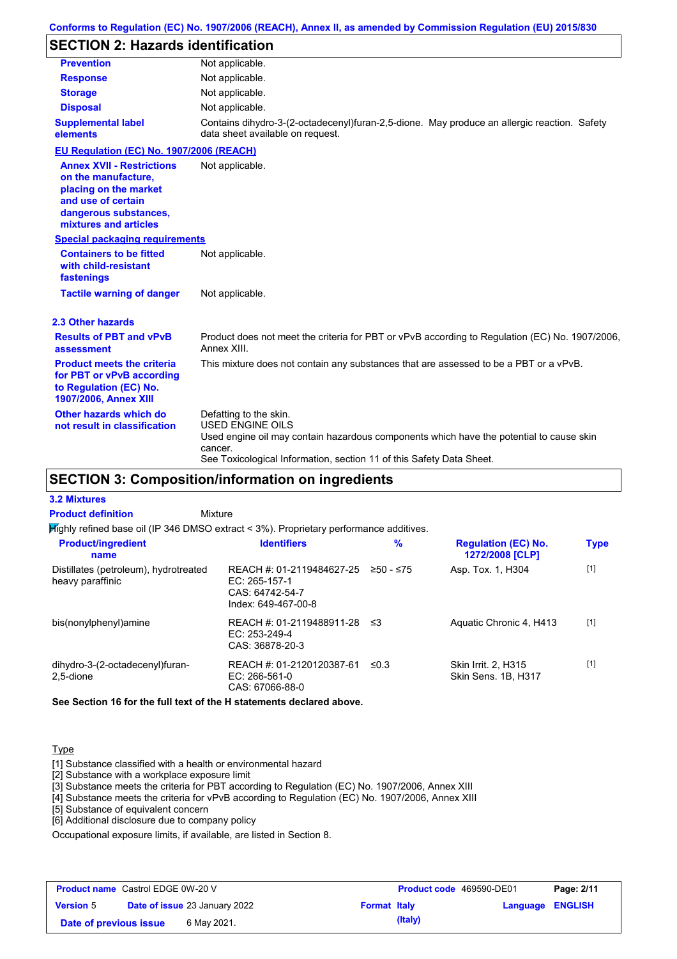### **Conforms to Regulation (EC) No. 1907/2006 (REACH), Annex II, as amended by Commission Regulation (EU) 2015/830**

## **SECTION 2: Hazards identification**

| <b>Prevention</b>                                                                                                                                        | Not applicable.                                                                                                                                                                                                                 |
|----------------------------------------------------------------------------------------------------------------------------------------------------------|---------------------------------------------------------------------------------------------------------------------------------------------------------------------------------------------------------------------------------|
| <b>Response</b>                                                                                                                                          | Not applicable.                                                                                                                                                                                                                 |
| <b>Storage</b>                                                                                                                                           | Not applicable.                                                                                                                                                                                                                 |
| <b>Disposal</b>                                                                                                                                          | Not applicable.                                                                                                                                                                                                                 |
| <b>Supplemental label</b><br>elements                                                                                                                    | Contains dihydro-3-(2-octadecenyl)furan-2,5-dione. May produce an allergic reaction. Safety<br>data sheet available on request.                                                                                                 |
| EU Regulation (EC) No. 1907/2006 (REACH)                                                                                                                 |                                                                                                                                                                                                                                 |
| <b>Annex XVII - Restrictions</b><br>on the manufacture.<br>placing on the market<br>and use of certain<br>dangerous substances,<br>mixtures and articles | Not applicable.                                                                                                                                                                                                                 |
| <b>Special packaging requirements</b>                                                                                                                    |                                                                                                                                                                                                                                 |
| <b>Containers to be fitted</b><br>with child-resistant<br>fastenings                                                                                     | Not applicable.                                                                                                                                                                                                                 |
| <b>Tactile warning of danger</b>                                                                                                                         | Not applicable.                                                                                                                                                                                                                 |
| 2.3 Other hazards                                                                                                                                        |                                                                                                                                                                                                                                 |
| <b>Results of PBT and vPvB</b><br>assessment                                                                                                             | Product does not meet the criteria for PBT or vPvB according to Regulation (EC) No. 1907/2006,<br>Annex XIII.                                                                                                                   |
| <b>Product meets the criteria</b><br>for PBT or vPvB according<br>to Regulation (EC) No.<br>1907/2006, Annex XIII                                        | This mixture does not contain any substances that are assessed to be a PBT or a vPvB.                                                                                                                                           |
| Other hazards which do<br>not result in classification                                                                                                   | Defatting to the skin.<br><b>USED ENGINE OILS</b><br>Used engine oil may contain hazardous components which have the potential to cause skin<br>cancer.<br>See Toxicological Information, section 11 of this Safety Data Sheet. |

## **SECTION 3: Composition/information on ingredients**

| <b>3.2 Mixtures</b>                                                                    |                                                                                        |             |                                               |             |
|----------------------------------------------------------------------------------------|----------------------------------------------------------------------------------------|-------------|-----------------------------------------------|-------------|
| <b>Product definition</b>                                                              | Mixture                                                                                |             |                                               |             |
| Mighly refined base oil (IP 346 DMSO extract < 3%). Proprietary performance additives. |                                                                                        |             |                                               |             |
| <b>Product/ingredient</b><br>name                                                      | <b>Identifiers</b>                                                                     | $\%$        | <b>Regulation (EC) No.</b><br>1272/2008 [CLP] | <b>Type</b> |
| Distillates (petroleum), hydrotreated<br>heavy paraffinic                              | REACH #: 01-2119484627-25<br>EC: $265-157-1$<br>CAS: 64742-54-7<br>Index: 649-467-00-8 | $≥50 - ≤75$ | Asp. Tox. 1, H304                             | $[1]$       |
| bis(nonylphenyl)amine                                                                  | REACH #: 01-2119488911-28<br>$EC: 253-249-4$<br>CAS: 36878-20-3                        | -≤3         | Aquatic Chronic 4, H413                       | $[1]$       |
| dihydro-3-(2-octadecenyl)furan-<br>2.5-dione                                           | REACH #: 01-2120120387-61<br>$EC: 266-561-0$<br>CAS: 67066-88-0                        | ≤0.3        | Skin Irrit. 2, H315<br>Skin Sens, 1B, H317    | $[1]$       |

**See Section 16 for the full text of the H statements declared above.**

### Type

[1] Substance classified with a health or environmental hazard

[2] Substance with a workplace exposure limit

[3] Substance meets the criteria for PBT according to Regulation (EC) No. 1907/2006, Annex XIII

[4] Substance meets the criteria for vPvB according to Regulation (EC) No. 1907/2006, Annex XIII

[5] Substance of equivalent concern

[6] Additional disclosure due to company policy

Occupational exposure limits, if available, are listed in Section 8.

| <b>Product name</b> Castrol EDGE 0W-20 V |  |                                      | Product code 469590-DE01 |         | Page: 2/11              |  |
|------------------------------------------|--|--------------------------------------|--------------------------|---------|-------------------------|--|
| <b>Version 5</b>                         |  | <b>Date of issue 23 January 2022</b> | <b>Format Italy</b>      |         | <b>Language ENGLISH</b> |  |
| Date of previous issue                   |  | 6 May 2021.                          |                          | (Italy) |                         |  |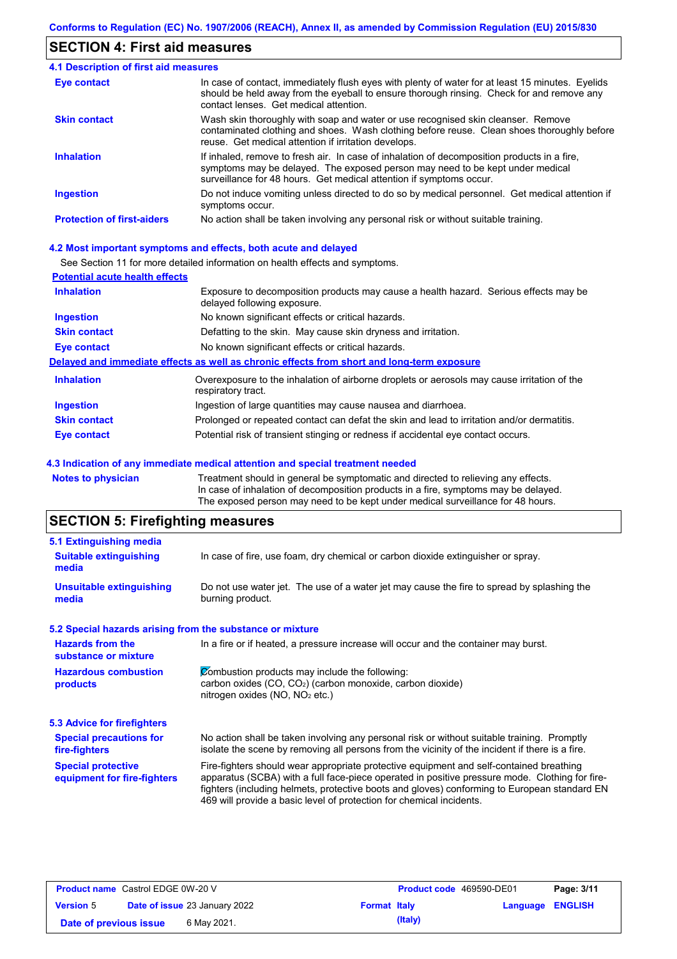### **SECTION 4: First aid measures**

| <b>4.1 Description of first aid measures</b> |                                                                                                                                                                                                                                                     |
|----------------------------------------------|-----------------------------------------------------------------------------------------------------------------------------------------------------------------------------------------------------------------------------------------------------|
| Eye contact                                  | In case of contact, immediately flush eyes with plenty of water for at least 15 minutes. Eyelids<br>should be held away from the eyeball to ensure thorough rinsing. Check for and remove any<br>contact lenses. Get medical attention.             |
| <b>Skin contact</b>                          | Wash skin thoroughly with soap and water or use recognised skin cleanser. Remove<br>contaminated clothing and shoes. Wash clothing before reuse. Clean shoes thoroughly before<br>reuse. Get medical attention if irritation develops.              |
| <b>Inhalation</b>                            | If inhaled, remove to fresh air. In case of inhalation of decomposition products in a fire,<br>symptoms may be delayed. The exposed person may need to be kept under medical<br>surveillance for 48 hours. Get medical attention if symptoms occur. |
| <b>Ingestion</b>                             | Do not induce vomiting unless directed to do so by medical personnel. Get medical attention if<br>symptoms occur.                                                                                                                                   |
| <b>Protection of first-aiders</b>            | No action shall be taken involving any personal risk or without suitable training.                                                                                                                                                                  |

### **4.2 Most important symptoms and effects, both acute and delayed**

See Section 11 for more detailed information on health effects and symptoms.

| <b>Potential acute health effects</b> |                                                                                                                     |
|---------------------------------------|---------------------------------------------------------------------------------------------------------------------|
| <b>Inhalation</b>                     | Exposure to decomposition products may cause a health hazard. Serious effects may be<br>delayed following exposure. |
| <b>Ingestion</b>                      | No known significant effects or critical hazards.                                                                   |
| <b>Skin contact</b>                   | Defatting to the skin. May cause skin dryness and irritation.                                                       |
| <b>Eye contact</b>                    | No known significant effects or critical hazards.                                                                   |
|                                       | Delayed and immediate effects as well as chronic effects from short and long-term exposure                          |
| <b>Inhalation</b>                     | Overexposure to the inhalation of airborne droplets or aerosols may cause irritation of the<br>respiratory tract.   |
| <b>Ingestion</b>                      | Ingestion of large quantities may cause nausea and diarrhoea.                                                       |
| <b>Skin contact</b>                   | Prolonged or repeated contact can defat the skin and lead to irritation and/or dermatitis.                          |
| Eye contact                           | Potential risk of transient stinging or redness if accidental eye contact occurs.                                   |
|                                       |                                                                                                                     |

#### **4.3 Indication of any immediate medical attention and special treatment needed**

**Notes to physician** Treatment should in general be symptomatic and directed to relieving any effects. In case of inhalation of decomposition products in a fire, symptoms may be delayed. The exposed person may need to be kept under medical surveillance for 48 hours.

# **SECTION 5: Firefighting measures**

| 5.1 Extinguishing media                                                                                                                                                                          |                                                                                                                                                                                                                                                                                                                                                                   |  |
|--------------------------------------------------------------------------------------------------------------------------------------------------------------------------------------------------|-------------------------------------------------------------------------------------------------------------------------------------------------------------------------------------------------------------------------------------------------------------------------------------------------------------------------------------------------------------------|--|
| <b>Suitable extinguishing</b><br>media                                                                                                                                                           | In case of fire, use foam, dry chemical or carbon dioxide extinguisher or spray.                                                                                                                                                                                                                                                                                  |  |
| <b>Unsuitable extinguishing</b><br>media                                                                                                                                                         | Do not use water jet. The use of a water jet may cause the fire to spread by splashing the<br>burning product.                                                                                                                                                                                                                                                    |  |
| 5.2 Special hazards arising from the substance or mixture                                                                                                                                        |                                                                                                                                                                                                                                                                                                                                                                   |  |
| <b>Hazards from the</b><br>substance or mixture                                                                                                                                                  | In a fire or if heated, a pressure increase will occur and the container may burst.                                                                                                                                                                                                                                                                               |  |
| Combustion products may include the following:<br><b>Hazardous combustion</b><br>carbon oxides $(CO, CO2)$ (carbon monoxide, carbon dioxide)<br>products<br>nitrogen oxides ( $NO$ , $NO2$ etc.) |                                                                                                                                                                                                                                                                                                                                                                   |  |
| 5.3 Advice for firefighters                                                                                                                                                                      |                                                                                                                                                                                                                                                                                                                                                                   |  |
| <b>Special precautions for</b><br>fire-fighters                                                                                                                                                  | No action shall be taken involving any personal risk or without suitable training. Promptly<br>isolate the scene by removing all persons from the vicinity of the incident if there is a fire.                                                                                                                                                                    |  |
| <b>Special protective</b><br>equipment for fire-fighters                                                                                                                                         | Fire-fighters should wear appropriate protective equipment and self-contained breathing<br>apparatus (SCBA) with a full face-piece operated in positive pressure mode. Clothing for fire-<br>fighters (including helmets, protective boots and gloves) conforming to European standard EN<br>469 will provide a basic level of protection for chemical incidents. |  |

| <b>Product name</b> Castrol EDGE 0W-20 V |  | <b>Product code</b> 469590-DE01      |                     | Page: 3/11 |                         |  |
|------------------------------------------|--|--------------------------------------|---------------------|------------|-------------------------|--|
| <b>Version 5</b>                         |  | <b>Date of issue 23 January 2022</b> | <b>Format Italy</b> |            | <b>Language ENGLISH</b> |  |
| Date of previous issue                   |  | 6 May 2021.                          |                     | (Italy)    |                         |  |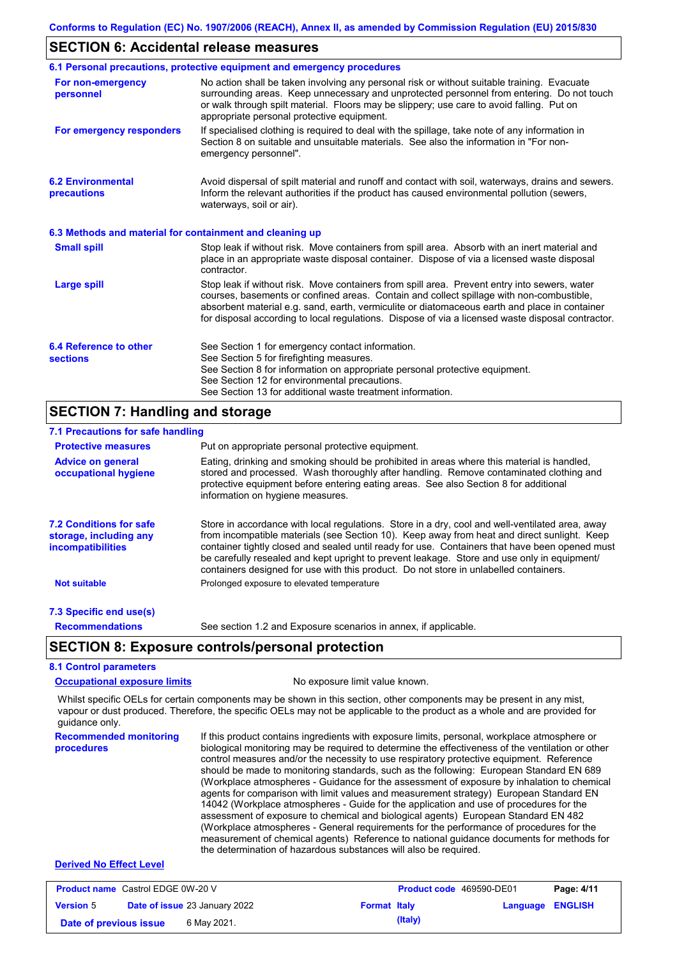### **SECTION 6: Accidental release measures**

| 6.1 Personal precautions, protective equipment and emergency procedures                                                                                                                                                                                                                                                                                                                        |
|------------------------------------------------------------------------------------------------------------------------------------------------------------------------------------------------------------------------------------------------------------------------------------------------------------------------------------------------------------------------------------------------|
| No action shall be taken involving any personal risk or without suitable training. Evacuate<br>surrounding areas. Keep unnecessary and unprotected personnel from entering. Do not touch<br>or walk through spilt material. Floors may be slippery; use care to avoid falling. Put on<br>appropriate personal protective equipment.                                                            |
| If specialised clothing is required to deal with the spillage, take note of any information in<br>Section 8 on suitable and unsuitable materials. See also the information in "For non-<br>emergency personnel".                                                                                                                                                                               |
| Avoid dispersal of spilt material and runoff and contact with soil, waterways, drains and sewers.<br>Inform the relevant authorities if the product has caused environmental pollution (sewers,<br>waterways, soil or air).                                                                                                                                                                    |
| 6.3 Methods and material for containment and cleaning up                                                                                                                                                                                                                                                                                                                                       |
| Stop leak if without risk. Move containers from spill area. Absorb with an inert material and<br>place in an appropriate waste disposal container. Dispose of via a licensed waste disposal<br>contractor.                                                                                                                                                                                     |
| Stop leak if without risk. Move containers from spill area. Prevent entry into sewers, water<br>courses, basements or confined areas. Contain and collect spillage with non-combustible,<br>absorbent material e.g. sand, earth, vermiculite or diatomaceous earth and place in container<br>for disposal according to local regulations. Dispose of via a licensed waste disposal contractor. |
| See Section 1 for emergency contact information.                                                                                                                                                                                                                                                                                                                                               |
| See Section 5 for firefighting measures.                                                                                                                                                                                                                                                                                                                                                       |
| See Section 8 for information on appropriate personal protective equipment.                                                                                                                                                                                                                                                                                                                    |
| See Section 12 for environmental precautions.<br>See Section 13 for additional waste treatment information.                                                                                                                                                                                                                                                                                    |
|                                                                                                                                                                                                                                                                                                                                                                                                |

### **SECTION 7: Handling and storage**

| 7.1 Precautions for safe handling                                                    |                                                                                                                                                                                                                                                                                                                                                                                                                                                                                          |  |  |  |  |
|--------------------------------------------------------------------------------------|------------------------------------------------------------------------------------------------------------------------------------------------------------------------------------------------------------------------------------------------------------------------------------------------------------------------------------------------------------------------------------------------------------------------------------------------------------------------------------------|--|--|--|--|
| <b>Protective measures</b>                                                           | Put on appropriate personal protective equipment.                                                                                                                                                                                                                                                                                                                                                                                                                                        |  |  |  |  |
| <b>Advice on general</b><br>occupational hygiene                                     | Eating, drinking and smoking should be prohibited in areas where this material is handled,<br>stored and processed. Wash thoroughly after handling. Remove contaminated clothing and<br>protective equipment before entering eating areas. See also Section 8 for additional<br>information on hygiene measures.                                                                                                                                                                         |  |  |  |  |
| <b>7.2 Conditions for safe</b><br>storage, including any<br><i>incompatibilities</i> | Store in accordance with local regulations. Store in a dry, cool and well-ventilated area, away<br>from incompatible materials (see Section 10). Keep away from heat and direct sunlight. Keep<br>container tightly closed and sealed until ready for use. Containers that have been opened must<br>be carefully resealed and kept upright to prevent leakage. Store and use only in equipment/<br>containers designed for use with this product. Do not store in unlabelled containers. |  |  |  |  |
| <b>Not suitable</b>                                                                  | Prolonged exposure to elevated temperature                                                                                                                                                                                                                                                                                                                                                                                                                                               |  |  |  |  |
| 7.3 Specific end use(s)                                                              |                                                                                                                                                                                                                                                                                                                                                                                                                                                                                          |  |  |  |  |
| <b>Recommendations</b>                                                               | See section 1.2 and Exposure scenarios in annex, if applicable.                                                                                                                                                                                                                                                                                                                                                                                                                          |  |  |  |  |
|                                                                                      | <b>SECTION 8: Exposure controls/personal protection</b>                                                                                                                                                                                                                                                                                                                                                                                                                                  |  |  |  |  |
| <b>8.1 Control parameters</b>                                                        |                                                                                                                                                                                                                                                                                                                                                                                                                                                                                          |  |  |  |  |
|                                                                                      | <b>Occupational exposure limits</b><br>No exposure limit value known.                                                                                                                                                                                                                                                                                                                                                                                                                    |  |  |  |  |
|                                                                                      |                                                                                                                                                                                                                                                                                                                                                                                                                                                                                          |  |  |  |  |

Whilst specific OELs for certain components may be shown in this section, other components may be present in any mist, vapour or dust produced. Therefore, the specific OELs may not be applicable to the product as a whole and are provided for guidance only.

**Recommended monitoring procedures** If this product contains ingredients with exposure limits, personal, workplace atmosphere or biological monitoring may be required to determine the effectiveness of the ventilation or other control measures and/or the necessity to use respiratory protective equipment. Reference should be made to monitoring standards, such as the following: European Standard EN 689 (Workplace atmospheres - Guidance for the assessment of exposure by inhalation to chemical agents for comparison with limit values and measurement strategy) European Standard EN 14042 (Workplace atmospheres - Guide for the application and use of procedures for the assessment of exposure to chemical and biological agents) European Standard EN 482 (Workplace atmospheres - General requirements for the performance of procedures for the measurement of chemical agents) Reference to national guidance documents for methods for the determination of hazardous substances will also be required.

### **Derived No Effect Level**

| <b>Product name</b> Castrol EDGE 0W-20 V |  | <b>Product code</b> 469590-DE01      |                     | Page: 4/11 |                  |  |
|------------------------------------------|--|--------------------------------------|---------------------|------------|------------------|--|
| <b>Version 5</b>                         |  | <b>Date of issue 23 January 2022</b> | <b>Format Italy</b> |            | Language ENGLISH |  |
| Date of previous issue                   |  | 6 May 2021.                          |                     | (Italy)    |                  |  |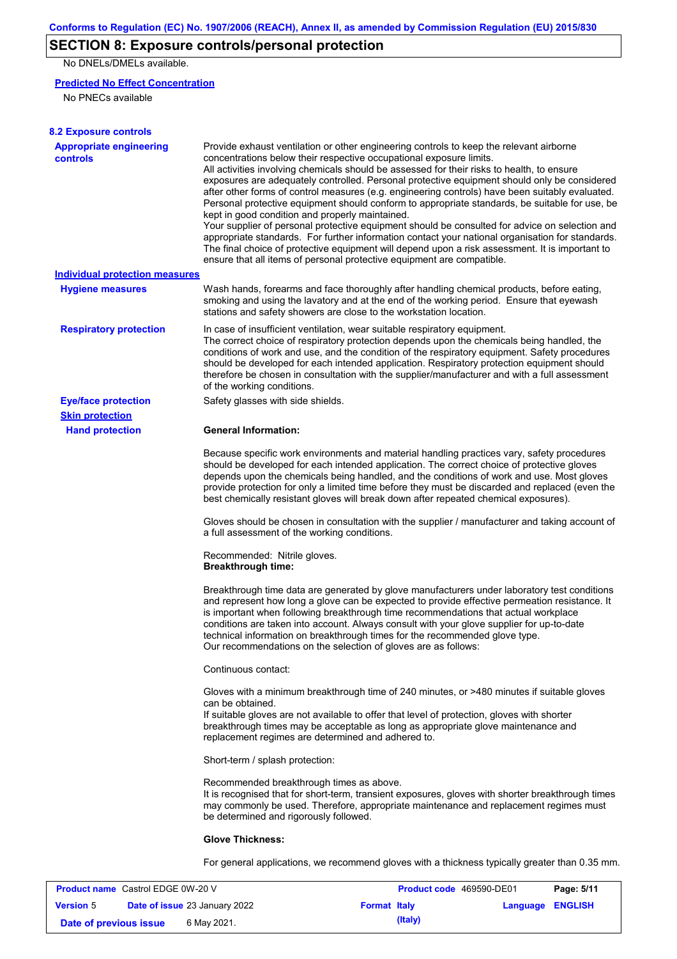# **SECTION 8: Exposure controls/personal protection**

No DNELs/DMELs available.

### **Predicted No Effect Concentration**

No PNECs available

| <b>8.2 Exposure controls</b>                      |                                                                                                                                                                                                                                                                                                                                                                                                                                                                                                                                                                                                                                                                                                                                                                                                                                                                                                                                                                                                         |
|---------------------------------------------------|---------------------------------------------------------------------------------------------------------------------------------------------------------------------------------------------------------------------------------------------------------------------------------------------------------------------------------------------------------------------------------------------------------------------------------------------------------------------------------------------------------------------------------------------------------------------------------------------------------------------------------------------------------------------------------------------------------------------------------------------------------------------------------------------------------------------------------------------------------------------------------------------------------------------------------------------------------------------------------------------------------|
| <b>Appropriate engineering</b><br><b>controls</b> | Provide exhaust ventilation or other engineering controls to keep the relevant airborne<br>concentrations below their respective occupational exposure limits.<br>All activities involving chemicals should be assessed for their risks to health, to ensure<br>exposures are adequately controlled. Personal protective equipment should only be considered<br>after other forms of control measures (e.g. engineering controls) have been suitably evaluated.<br>Personal protective equipment should conform to appropriate standards, be suitable for use, be<br>kept in good condition and properly maintained.<br>Your supplier of personal protective equipment should be consulted for advice on selection and<br>appropriate standards. For further information contact your national organisation for standards.<br>The final choice of protective equipment will depend upon a risk assessment. It is important to<br>ensure that all items of personal protective equipment are compatible. |
| <b>Individual protection measures</b>             |                                                                                                                                                                                                                                                                                                                                                                                                                                                                                                                                                                                                                                                                                                                                                                                                                                                                                                                                                                                                         |
| <b>Hygiene measures</b>                           | Wash hands, forearms and face thoroughly after handling chemical products, before eating,<br>smoking and using the lavatory and at the end of the working period. Ensure that eyewash<br>stations and safety showers are close to the workstation location.                                                                                                                                                                                                                                                                                                                                                                                                                                                                                                                                                                                                                                                                                                                                             |
| <b>Respiratory protection</b>                     | In case of insufficient ventilation, wear suitable respiratory equipment.<br>The correct choice of respiratory protection depends upon the chemicals being handled, the<br>conditions of work and use, and the condition of the respiratory equipment. Safety procedures<br>should be developed for each intended application. Respiratory protection equipment should<br>therefore be chosen in consultation with the supplier/manufacturer and with a full assessment<br>of the working conditions.                                                                                                                                                                                                                                                                                                                                                                                                                                                                                                   |
| <b>Eye/face protection</b>                        | Safety glasses with side shields.                                                                                                                                                                                                                                                                                                                                                                                                                                                                                                                                                                                                                                                                                                                                                                                                                                                                                                                                                                       |
| <b>Skin protection</b>                            |                                                                                                                                                                                                                                                                                                                                                                                                                                                                                                                                                                                                                                                                                                                                                                                                                                                                                                                                                                                                         |
| <b>Hand protection</b>                            | <b>General Information:</b>                                                                                                                                                                                                                                                                                                                                                                                                                                                                                                                                                                                                                                                                                                                                                                                                                                                                                                                                                                             |
|                                                   | Because specific work environments and material handling practices vary, safety procedures<br>should be developed for each intended application. The correct choice of protective gloves<br>depends upon the chemicals being handled, and the conditions of work and use. Most gloves<br>provide protection for only a limited time before they must be discarded and replaced (even the<br>best chemically resistant gloves will break down after repeated chemical exposures).                                                                                                                                                                                                                                                                                                                                                                                                                                                                                                                        |
|                                                   | Gloves should be chosen in consultation with the supplier / manufacturer and taking account of<br>a full assessment of the working conditions.                                                                                                                                                                                                                                                                                                                                                                                                                                                                                                                                                                                                                                                                                                                                                                                                                                                          |
|                                                   | Recommended: Nitrile gloves.<br><b>Breakthrough time:</b>                                                                                                                                                                                                                                                                                                                                                                                                                                                                                                                                                                                                                                                                                                                                                                                                                                                                                                                                               |
|                                                   | Breakthrough time data are generated by glove manufacturers under laboratory test conditions<br>and represent how long a glove can be expected to provide effective permeation resistance. It<br>is important when following breakthrough time recommendations that actual workplace<br>conditions are taken into account. Always consult with your glove supplier for up-to-date<br>technical information on breakthrough times for the recommended glove type.<br>Our recommendations on the selection of gloves are as follows:                                                                                                                                                                                                                                                                                                                                                                                                                                                                      |
|                                                   | Continuous contact:                                                                                                                                                                                                                                                                                                                                                                                                                                                                                                                                                                                                                                                                                                                                                                                                                                                                                                                                                                                     |
|                                                   | Gloves with a minimum breakthrough time of 240 minutes, or >480 minutes if suitable gloves<br>can be obtained.<br>If suitable gloves are not available to offer that level of protection, gloves with shorter<br>breakthrough times may be acceptable as long as appropriate glove maintenance and<br>replacement regimes are determined and adhered to.                                                                                                                                                                                                                                                                                                                                                                                                                                                                                                                                                                                                                                                |
|                                                   | Short-term / splash protection:                                                                                                                                                                                                                                                                                                                                                                                                                                                                                                                                                                                                                                                                                                                                                                                                                                                                                                                                                                         |
|                                                   | Recommended breakthrough times as above.<br>It is recognised that for short-term, transient exposures, gloves with shorter breakthrough times<br>may commonly be used. Therefore, appropriate maintenance and replacement regimes must<br>be determined and rigorously followed.                                                                                                                                                                                                                                                                                                                                                                                                                                                                                                                                                                                                                                                                                                                        |
|                                                   | <b>Glove Thickness:</b>                                                                                                                                                                                                                                                                                                                                                                                                                                                                                                                                                                                                                                                                                                                                                                                                                                                                                                                                                                                 |
|                                                   | For general applications, we recommend gloves with a thickness typically greater than 0.35 mm.                                                                                                                                                                                                                                                                                                                                                                                                                                                                                                                                                                                                                                                                                                                                                                                                                                                                                                          |

| <b>Product name</b> Castrol EDGE 0W-20 V |  | <b>Product code</b> 469590-DE01      |                     | Page: 5/11 |                         |  |
|------------------------------------------|--|--------------------------------------|---------------------|------------|-------------------------|--|
| <b>Version 5</b>                         |  | <b>Date of issue 23 January 2022</b> | <b>Format Italy</b> |            | <b>Language ENGLISH</b> |  |
| Date of previous issue                   |  | 6 May 2021.                          |                     | (Italy)    |                         |  |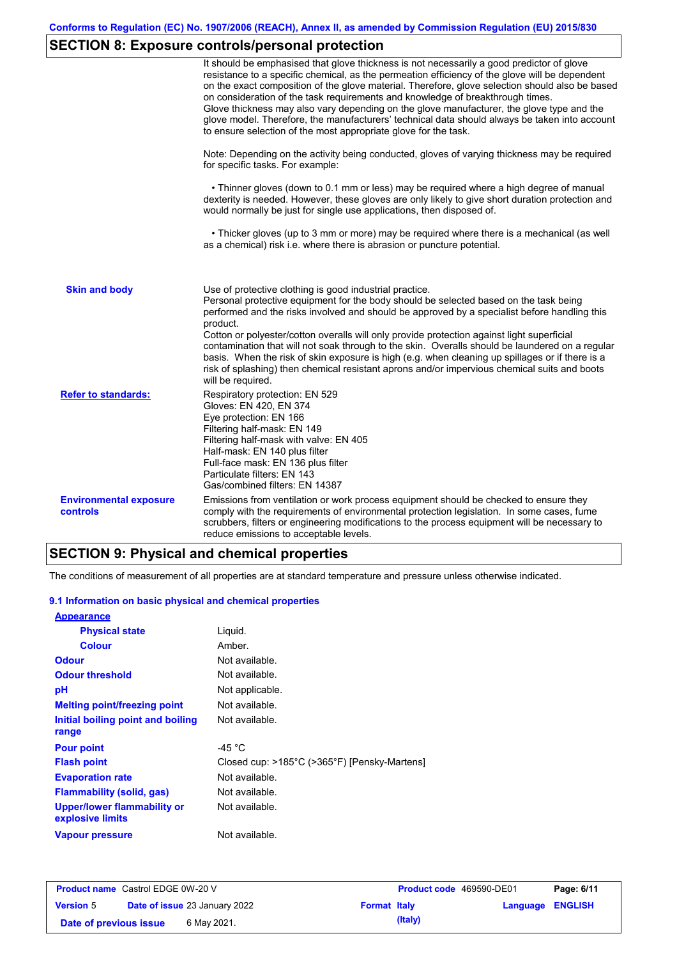# **SECTION 8: Exposure controls/personal protection**

|                                           | It should be emphasised that glove thickness is not necessarily a good predictor of glove<br>resistance to a specific chemical, as the permeation efficiency of the glove will be dependent<br>on the exact composition of the glove material. Therefore, glove selection should also be based<br>on consideration of the task requirements and knowledge of breakthrough times.<br>Glove thickness may also vary depending on the glove manufacturer, the glove type and the<br>glove model. Therefore, the manufacturers' technical data should always be taken into account<br>to ensure selection of the most appropriate glove for the task.                                     |
|-------------------------------------------|---------------------------------------------------------------------------------------------------------------------------------------------------------------------------------------------------------------------------------------------------------------------------------------------------------------------------------------------------------------------------------------------------------------------------------------------------------------------------------------------------------------------------------------------------------------------------------------------------------------------------------------------------------------------------------------|
|                                           | Note: Depending on the activity being conducted, gloves of varying thickness may be required<br>for specific tasks. For example:                                                                                                                                                                                                                                                                                                                                                                                                                                                                                                                                                      |
|                                           | • Thinner gloves (down to 0.1 mm or less) may be required where a high degree of manual<br>dexterity is needed. However, these gloves are only likely to give short duration protection and<br>would normally be just for single use applications, then disposed of.                                                                                                                                                                                                                                                                                                                                                                                                                  |
|                                           | • Thicker gloves (up to 3 mm or more) may be required where there is a mechanical (as well<br>as a chemical) risk i.e. where there is abrasion or puncture potential.                                                                                                                                                                                                                                                                                                                                                                                                                                                                                                                 |
| <b>Skin and body</b>                      | Use of protective clothing is good industrial practice.<br>Personal protective equipment for the body should be selected based on the task being<br>performed and the risks involved and should be approved by a specialist before handling this<br>product.<br>Cotton or polyester/cotton overalls will only provide protection against light superficial<br>contamination that will not soak through to the skin. Overalls should be laundered on a regular<br>basis. When the risk of skin exposure is high (e.g. when cleaning up spillages or if there is a<br>risk of splashing) then chemical resistant aprons and/or impervious chemical suits and boots<br>will be required. |
| <b>Refer to standards:</b>                | Respiratory protection: EN 529<br>Gloves: EN 420, EN 374<br>Eye protection: EN 166<br>Filtering half-mask: EN 149<br>Filtering half-mask with valve: EN 405<br>Half-mask: EN 140 plus filter<br>Full-face mask: EN 136 plus filter<br>Particulate filters: EN 143<br>Gas/combined filters: EN 14387                                                                                                                                                                                                                                                                                                                                                                                   |
| <b>Environmental exposure</b><br>controls | Emissions from ventilation or work process equipment should be checked to ensure they<br>comply with the requirements of environmental protection legislation. In some cases, fume<br>scrubbers, filters or engineering modifications to the process equipment will be necessary to<br>reduce emissions to acceptable levels.                                                                                                                                                                                                                                                                                                                                                         |

### **SECTION 9: Physical and chemical properties**

The conditions of measurement of all properties are at standard temperature and pressure unless otherwise indicated.

### **9.1 Information on basic physical and chemical properties**

| <b>Appearance</b>                                      |                                              |
|--------------------------------------------------------|----------------------------------------------|
| <b>Physical state</b>                                  | Liquid.                                      |
| <b>Colour</b>                                          | Amber.                                       |
| <b>Odour</b>                                           | Not available.                               |
| <b>Odour threshold</b>                                 | Not available.                               |
| рH                                                     | Not applicable.                              |
| <b>Melting point/freezing point</b>                    | Not available.                               |
| Initial boiling point and boiling                      | Not available.                               |
| range                                                  |                                              |
| <b>Pour point</b>                                      | -45 $^{\circ}$ C                             |
| <b>Flash point</b>                                     | Closed cup: >185°C (>365°F) [Pensky-Martens] |
| <b>Evaporation rate</b>                                | Not available.                               |
| <b>Flammability (solid, gas)</b>                       | Not available.                               |
| <b>Upper/lower flammability or</b><br>explosive limits | Not available.                               |
| <b>Vapour pressure</b>                                 | Not available.                               |

| <b>Product name</b> Castrol EDGE 0W-20 V |  | <b>Product code</b> 469590-DE01      |                     | Page: 6/11 |                         |  |
|------------------------------------------|--|--------------------------------------|---------------------|------------|-------------------------|--|
| <b>Version 5</b>                         |  | <b>Date of issue 23 January 2022</b> | <b>Format Italy</b> |            | <b>Language ENGLISH</b> |  |
| Date of previous issue                   |  | 6 May 2021.                          |                     | (Italy)    |                         |  |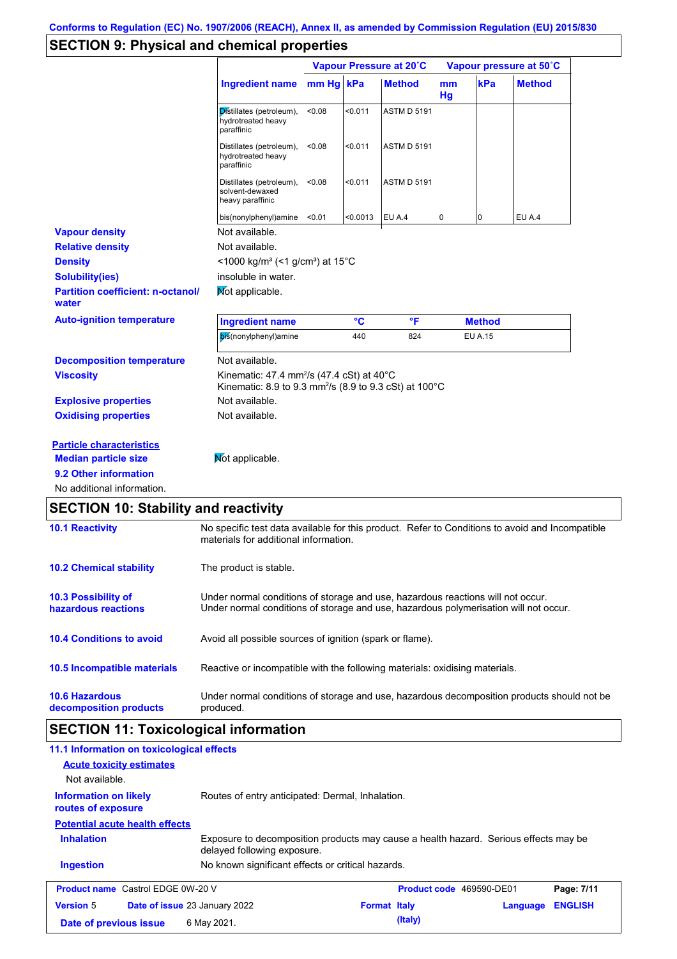# **SECTION 9: Physical and chemical properties**

|                                                   |                                                                                                                                                  | Vapour Pressure at 20°C |          |                    | Vapour pressure at 50°C |                |               |
|---------------------------------------------------|--------------------------------------------------------------------------------------------------------------------------------------------------|-------------------------|----------|--------------------|-------------------------|----------------|---------------|
|                                                   | <b>Ingredient name</b>                                                                                                                           | mm Hg kPa               |          | <b>Method</b>      | <sub>mm</sub><br>Hq     | kPa            | <b>Method</b> |
|                                                   | Distillates (petroleum),<br>hydrotreated heavy<br>paraffinic                                                                                     | < 0.08                  | < 0.011  | <b>ASTM D 5191</b> |                         |                |               |
|                                                   | Distillates (petroleum),<br>hydrotreated heavy<br>paraffinic                                                                                     | < 0.08                  | < 0.011  | <b>ASTM D 5191</b> |                         |                |               |
|                                                   | Distillates (petroleum),<br>solvent-dewaxed<br>heavy paraffinic                                                                                  | < 0.08                  | < 0.011  | <b>ASTM D 5191</b> |                         |                |               |
|                                                   | bis(nonylphenyl)amine                                                                                                                            | < 0.01                  | < 0.0013 | EU A.4             | 0                       | 0              | EU A.4        |
| <b>Vapour density</b>                             | Not available.                                                                                                                                   |                         |          |                    |                         |                |               |
| <b>Relative density</b>                           | Not available.                                                                                                                                   |                         |          |                    |                         |                |               |
| <b>Density</b>                                    | <1000 kg/m <sup>3</sup> (<1 g/cm <sup>3</sup> ) at 15 <sup>°</sup> C                                                                             |                         |          |                    |                         |                |               |
| <b>Solubility(ies)</b>                            | insoluble in water.                                                                                                                              |                         |          |                    |                         |                |               |
| <b>Partition coefficient: n-octanol/</b><br>water | Not applicable.                                                                                                                                  |                         |          |                    |                         |                |               |
| <b>Auto-ignition temperature</b>                  | <b>Ingredient name</b>                                                                                                                           |                         | °C       | $^{\circ}$ F       |                         | <b>Method</b>  |               |
|                                                   | bis(nonylphenyl)amine                                                                                                                            |                         | 440      | 824                |                         | <b>EU A.15</b> |               |
| <b>Decomposition temperature</b>                  | Not available.                                                                                                                                   |                         |          |                    |                         |                |               |
| <b>Viscosity</b>                                  | Kinematic: 47.4 mm <sup>2</sup> /s (47.4 cSt) at 40 $\degree$ C<br>Kinematic: 8.9 to 9.3 mm <sup>2</sup> /s (8.9 to 9.3 cSt) at 100 $^{\circ}$ C |                         |          |                    |                         |                |               |
| <b>Explosive properties</b>                       | Not available.                                                                                                                                   |                         |          |                    |                         |                |               |
| <b>Oxidising properties</b>                       | Not available.                                                                                                                                   |                         |          |                    |                         |                |               |
| <b>Particle characteristics</b>                   |                                                                                                                                                  |                         |          |                    |                         |                |               |
| <b>Median particle size</b>                       | Mot applicable.                                                                                                                                  |                         |          |                    |                         |                |               |
| 9.2 Other information                             |                                                                                                                                                  |                         |          |                    |                         |                |               |
| No additional information.                        |                                                                                                                                                  |                         |          |                    |                         |                |               |
|                                                   |                                                                                                                                                  |                         |          |                    |                         |                |               |
| <b>SECTION 10: Stability and reactivity</b>       |                                                                                                                                                  |                         |          |                    |                         |                |               |

| <b>10.1 Reactivity</b>                          | No specific test data available for this product. Refer to Conditions to avoid and Incompatible<br>materials for additional information.                                |
|-------------------------------------------------|-------------------------------------------------------------------------------------------------------------------------------------------------------------------------|
| <b>10.2 Chemical stability</b>                  | The product is stable.                                                                                                                                                  |
| 10.3 Possibility of<br>hazardous reactions      | Under normal conditions of storage and use, hazardous reactions will not occur.<br>Under normal conditions of storage and use, hazardous polymerisation will not occur. |
| <b>10.4 Conditions to avoid</b>                 | Avoid all possible sources of ignition (spark or flame).                                                                                                                |
| 10.5 Incompatible materials                     | Reactive or incompatible with the following materials: oxidising materials.                                                                                             |
| <b>10.6 Hazardous</b><br>decomposition products | Under normal conditions of storage and use, hazardous decomposition products should not be<br>produced.                                                                 |

# **SECTION 11: Toxicological information**

| 11.1 Information on toxicological effects<br><b>Acute toxicity estimates</b><br>Not available. |                                                                                                                     |                     |                          |          |                |
|------------------------------------------------------------------------------------------------|---------------------------------------------------------------------------------------------------------------------|---------------------|--------------------------|----------|----------------|
| <b>Information on likely</b><br>routes of exposure                                             | Routes of entry anticipated: Dermal, Inhalation.                                                                    |                     |                          |          |                |
| <b>Potential acute health effects</b>                                                          |                                                                                                                     |                     |                          |          |                |
| <b>Inhalation</b>                                                                              | Exposure to decomposition products may cause a health hazard. Serious effects may be<br>delayed following exposure. |                     |                          |          |                |
| <b>Ingestion</b>                                                                               | No known significant effects or critical hazards.                                                                   |                     |                          |          |                |
| <b>Product name</b> Castrol EDGE 0W-20 V                                                       |                                                                                                                     |                     | Product code 469590-DE01 |          | Page: 7/11     |
| <b>Version 5</b>                                                                               | Date of issue 23 January 2022                                                                                       | <b>Format Italy</b> |                          | Language | <b>ENGLISH</b> |
| Date of previous issue                                                                         | 6 May 2021.                                                                                                         |                     | (Italy)                  |          |                |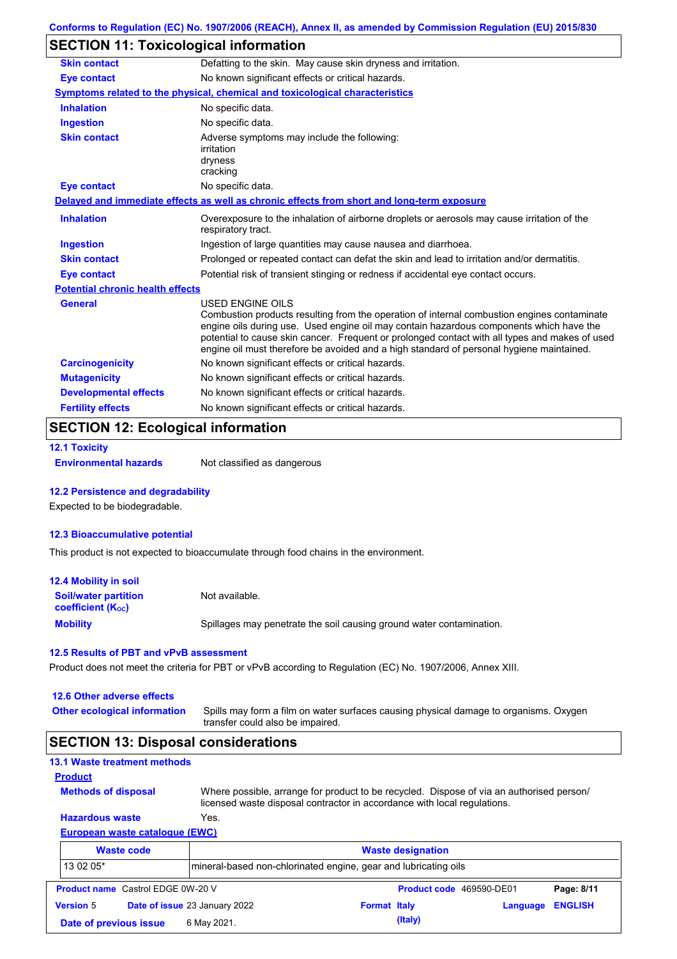# **SECTION 11: Toxicological information**

| <b>Skin contact</b>                     | Defatting to the skin. May cause skin dryness and irritation.                                                                                                                                                                                                                                                                                                                                            |
|-----------------------------------------|----------------------------------------------------------------------------------------------------------------------------------------------------------------------------------------------------------------------------------------------------------------------------------------------------------------------------------------------------------------------------------------------------------|
| <b>Eye contact</b>                      | No known significant effects or critical hazards.                                                                                                                                                                                                                                                                                                                                                        |
|                                         | <b>Symptoms related to the physical, chemical and toxicological characteristics</b>                                                                                                                                                                                                                                                                                                                      |
| <b>Inhalation</b>                       | No specific data.                                                                                                                                                                                                                                                                                                                                                                                        |
| <b>Ingestion</b>                        | No specific data.                                                                                                                                                                                                                                                                                                                                                                                        |
| <b>Skin contact</b>                     | Adverse symptoms may include the following:<br>irritation<br>dryness<br>cracking                                                                                                                                                                                                                                                                                                                         |
| <b>Eye contact</b>                      | No specific data.                                                                                                                                                                                                                                                                                                                                                                                        |
|                                         | Delayed and immediate effects as well as chronic effects from short and long-term exposure                                                                                                                                                                                                                                                                                                               |
| <b>Inhalation</b>                       | Overexposure to the inhalation of airborne droplets or aerosols may cause irritation of the<br>respiratory tract.                                                                                                                                                                                                                                                                                        |
| <b>Ingestion</b>                        | Ingestion of large quantities may cause nausea and diarrhoea.                                                                                                                                                                                                                                                                                                                                            |
| <b>Skin contact</b>                     | Prolonged or repeated contact can defat the skin and lead to irritation and/or dermatitis.                                                                                                                                                                                                                                                                                                               |
| <b>Eye contact</b>                      | Potential risk of transient stinging or redness if accidental eye contact occurs.                                                                                                                                                                                                                                                                                                                        |
| <b>Potential chronic health effects</b> |                                                                                                                                                                                                                                                                                                                                                                                                          |
| <b>General</b>                          | USED ENGINE OILS<br>Combustion products resulting from the operation of internal combustion engines contaminate<br>engine oils during use. Used engine oil may contain hazardous components which have the<br>potential to cause skin cancer. Frequent or prolonged contact with all types and makes of used<br>engine oil must therefore be avoided and a high standard of personal hygiene maintained. |
| <b>Carcinogenicity</b>                  | No known significant effects or critical hazards.                                                                                                                                                                                                                                                                                                                                                        |
| <b>Mutagenicity</b>                     | No known significant effects or critical hazards.                                                                                                                                                                                                                                                                                                                                                        |
| <b>Developmental effects</b>            | No known significant effects or critical hazards.                                                                                                                                                                                                                                                                                                                                                        |
|                                         |                                                                                                                                                                                                                                                                                                                                                                                                          |

### **SECTION 12: Ecological information**

```
12.1 Toxicity
```
**Environmental hazards** Not classified as dangerous

### **12.2 Persistence and degradability**

Expected to be biodegradable.

### **12.3 Bioaccumulative potential**

This product is not expected to bioaccumulate through food chains in the environment.

| 12.4 Mobility in soil                                         |                                                                      |
|---------------------------------------------------------------|----------------------------------------------------------------------|
| <b>Soil/water partition</b><br>coefficient (K <sub>oc</sub> ) | Not available.                                                       |
| <b>Mobility</b>                                               | Spillages may penetrate the soil causing ground water contamination. |

#### **12.5 Results of PBT and vPvB assessment**

Product does not meet the criteria for PBT or vPvB according to Regulation (EC) No. 1907/2006, Annex XIII.

#### **12.6 Other adverse effects**

**Other ecological information**

Spills may form a film on water surfaces causing physical damage to organisms. Oxygen transfer could also be impaired.

### **SECTION 13: Disposal considerations**

## **13.1 Waste treatment methods**

**Methods of disposal**

**Product**

**Hazardous waste** Yes. Where possible, arrange for product to be recycled. Dispose of via an authorised person/ licensed waste disposal contractor in accordance with local regulations.

## **European waste catalogue (EWC)**

|                  | <b>Waste code</b>                        |                                                                 |                     | <b>Waste designation</b> |                          |                |
|------------------|------------------------------------------|-----------------------------------------------------------------|---------------------|--------------------------|--------------------------|----------------|
| 13 02 05*        |                                          | mineral-based non-chlorinated engine, gear and lubricating oils |                     |                          |                          |                |
|                  | <b>Product name</b> Castrol EDGE 0W-20 V |                                                                 |                     |                          | Product code 469590-DE01 | Page: 8/11     |
| <b>Version 5</b> |                                          | Date of issue 23 January 2022                                   | <b>Format Italy</b> |                          | Language                 | <b>ENGLISH</b> |
|                  | Date of previous issue                   | 6 May 2021.                                                     |                     | (Italy)                  |                          |                |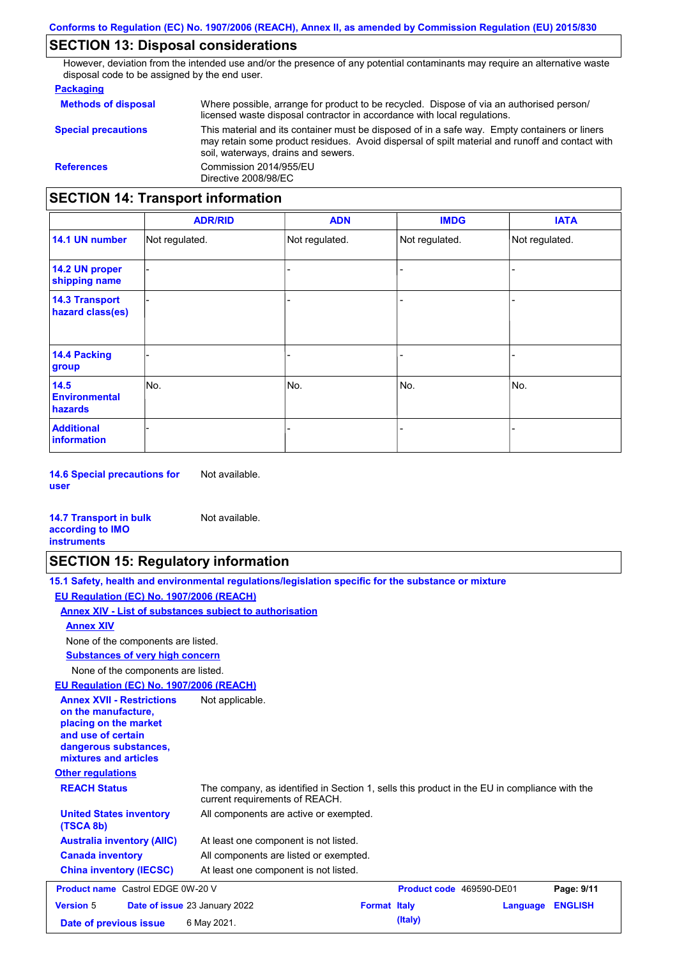## **SECTION 13: Disposal considerations**

However, deviation from the intended use and/or the presence of any potential contaminants may require an alternative waste disposal code to be assigned by the end user.

### **Packaging**

| <b>Methods of disposal</b>               | Where possible, arrange for product to be recycled. Dispose of via an authorised person/<br>licensed waste disposal contractor in accordance with local regulations.                                                                    |
|------------------------------------------|-----------------------------------------------------------------------------------------------------------------------------------------------------------------------------------------------------------------------------------------|
| <b>Special precautions</b>               | This material and its container must be disposed of in a safe way. Empty containers or liners<br>may retain some product residues. Avoid dispersal of spilt material and runoff and contact with<br>soil, waterways, drains and sewers. |
| <b>References</b>                        | Commission 2014/955/EU<br>Directive 2008/98/EC                                                                                                                                                                                          |
| <b>SECTION 14: Transport information</b> |                                                                                                                                                                                                                                         |

#### - - - - - - - - - Not regulated. Not regulated. Not regulated. - - - **ADR/RID IMDG IATA 14.1 UN number 14.2 UN proper shipping name 14.3 Transport hazard class(es) 14.4 Packing group ADN Additional information 14.5 Environmental hazards** No. 1980 | No. 1980 | No. 1980 | No. 1980 | No. 1980 | No. 1980 | No. 1980 | No. 1980 | No. 1980 | No. 1980 | Not regulated. - No. - -

**14.6 Special precautions for user** Not available.

#### **14.7 Transport in bulk according to IMO instruments**

# **SECTION 15: Regulatory information**

Not available.

|                                                         | 15.1 Safety, health and environmental regulations/legislation specific for the substance or mixture                            |
|---------------------------------------------------------|--------------------------------------------------------------------------------------------------------------------------------|
| EU Regulation (EC) No. 1907/2006 (REACH)                |                                                                                                                                |
| Annex XIV - List of substances subject to authorisation |                                                                                                                                |
| <b>Annex XIV</b>                                        |                                                                                                                                |
| None of the components are listed.                      |                                                                                                                                |
| <b>Substances of very high concern</b>                  |                                                                                                                                |
| None of the components are listed.                      |                                                                                                                                |
| EU Regulation (EC) No. 1907/2006 (REACH)                |                                                                                                                                |
| <b>Annex XVII - Restrictions</b><br>on the manufacture. | Not applicable.                                                                                                                |
| placing on the market                                   |                                                                                                                                |
| and use of certain<br>dangerous substances,             |                                                                                                                                |
| mixtures and articles                                   |                                                                                                                                |
| <b>Other regulations</b>                                |                                                                                                                                |
| <b>REACH Status</b>                                     | The company, as identified in Section 1, sells this product in the EU in compliance with the<br>current requirements of REACH. |

| <b>Product name</b> Castrol EDGE 0W-20 V    |                                        | <b>Product code</b> 469590-DE01 | Page: $9/11$ |
|---------------------------------------------|----------------------------------------|---------------------------------|--------------|
| <b>China inventory (IECSC)</b>              | At least one component is not listed.  |                                 |              |
| <b>Canada inventory</b>                     | All components are listed or exempted. |                                 |              |
| <b>Australia inventory (AIIC)</b>           | At least one component is not listed.  |                                 |              |
| <b>United States inventory</b><br>(TSCA 8b) | All components are active or exempted. |                                 |              |
|                                             | Carlotte regalierite di REACHI.        |                                 |              |

| <b>Product name</b> Castrol EDGE 0W-20 V                 |  |                     |  | <b>Product code</b> 469590-DE01 | Page: 9/11 |  |
|----------------------------------------------------------|--|---------------------|--|---------------------------------|------------|--|
| <b>Date of issue 23 January 2022</b><br><b>Version 5</b> |  | <b>Format Italy</b> |  | Language ENGLISH                |            |  |
| Date of previous issue                                   |  | 6 May 2021.         |  | (Italy)                         |            |  |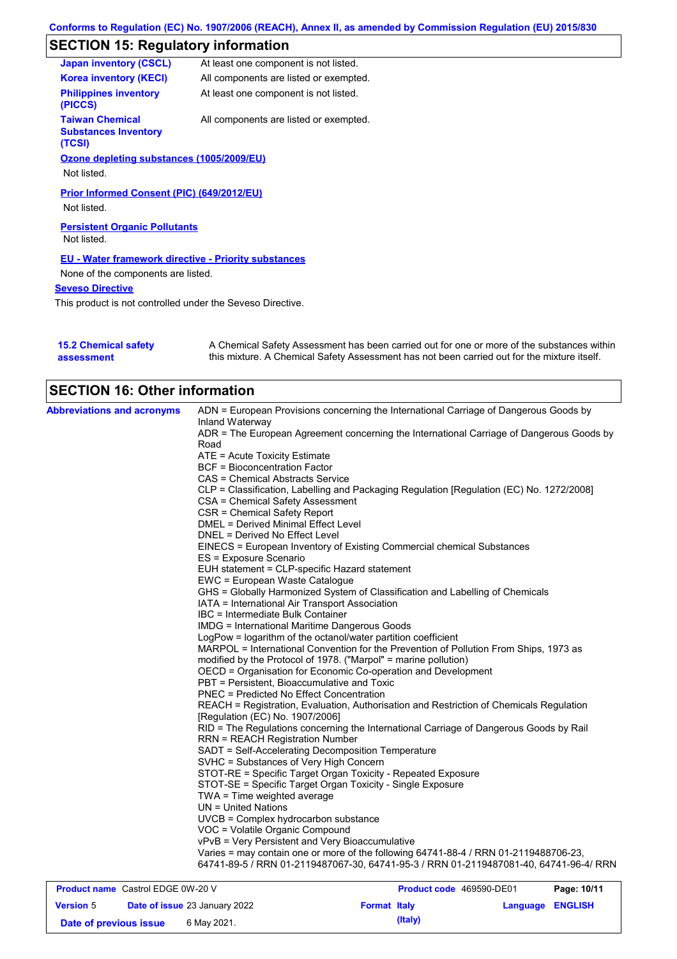# **SECTION 15: Regulatory information**

| <b>Japan inventory (CSCL)</b>                                   | At least one component is not listed.  |
|-----------------------------------------------------------------|----------------------------------------|
| <b>Korea inventory (KECI)</b>                                   | All components are listed or exempted. |
| <b>Philippines inventory</b><br>(PICCS)                         | At least one component is not listed.  |
| <b>Taiwan Chemical</b><br><b>Substances Inventory</b><br>(TCSI) | All components are listed or exempted. |
| Ozone depleting substances (1005/2009/EU)                       |                                        |
| Not listed.                                                     |                                        |
| Prior Informed Consent (PIC) (649/2012/EU)<br>Not listed.       |                                        |
| <b>Persistent Organic Pollutants</b><br>Not listed.             |                                        |
| <b>EU - Water framework directive - Priority substances</b>     |                                        |
| None of the components are listed.                              |                                        |
| <b>Seveso Directive</b>                                         |                                        |
|                                                                 |                                        |

This product is not controlled under the Seveso Directive.

| <b>15.2 Chemical safety</b> | A Chemical Safety Assessment has been carried out for one or more of the substances within  |
|-----------------------------|---------------------------------------------------------------------------------------------|
| assessment                  | this mixture. A Chemical Safety Assessment has not been carried out for the mixture itself. |

| <b>SECTION 16: Other information</b> |                                                                                                                 |
|--------------------------------------|-----------------------------------------------------------------------------------------------------------------|
| <b>Abbreviations and acronyms</b>    | ADN = European Provisions concerning the International Carriage of Dangerous Goods by<br><b>Inland Waterway</b> |
|                                      | ADR = The European Agreement concerning the International Carriage of Dangerous Goods by<br>Road                |
|                                      | ATE = Acute Toxicity Estimate                                                                                   |
|                                      | <b>BCF</b> = Bioconcentration Factor                                                                            |
|                                      | CAS = Chemical Abstracts Service                                                                                |
|                                      | CLP = Classification, Labelling and Packaging Regulation [Regulation (EC) No. 1272/2008]                        |
|                                      | CSA = Chemical Safety Assessment                                                                                |
|                                      | <b>CSR = Chemical Safety Report</b>                                                                             |
|                                      | DMEL = Derived Minimal Effect Level                                                                             |
|                                      | DNEL = Derived No Effect Level                                                                                  |
|                                      | EINECS = European Inventory of Existing Commercial chemical Substances                                          |
|                                      | ES = Exposure Scenario                                                                                          |
|                                      | EUH statement = CLP-specific Hazard statement                                                                   |
|                                      | EWC = European Waste Catalogue                                                                                  |
|                                      | GHS = Globally Harmonized System of Classification and Labelling of Chemicals                                   |
|                                      | IATA = International Air Transport Association                                                                  |
|                                      | IBC = Intermediate Bulk Container                                                                               |
|                                      | <b>IMDG</b> = International Maritime Dangerous Goods                                                            |
|                                      | LogPow = logarithm of the octanol/water partition coefficient                                                   |
|                                      | MARPOL = International Convention for the Prevention of Pollution From Ships, 1973 as                           |
|                                      | modified by the Protocol of 1978. ("Marpol" = marine pollution)                                                 |
|                                      | OECD = Organisation for Economic Co-operation and Development<br>PBT = Persistent, Bioaccumulative and Toxic    |
|                                      | PNEC = Predicted No Effect Concentration                                                                        |
|                                      | REACH = Registration, Evaluation, Authorisation and Restriction of Chemicals Regulation                         |
|                                      | [Regulation (EC) No. 1907/2006]                                                                                 |
|                                      | RID = The Regulations concerning the International Carriage of Dangerous Goods by Rail                          |
|                                      | <b>RRN = REACH Registration Number</b>                                                                          |
|                                      | SADT = Self-Accelerating Decomposition Temperature                                                              |
|                                      | SVHC = Substances of Very High Concern                                                                          |
|                                      | STOT-RE = Specific Target Organ Toxicity - Repeated Exposure                                                    |
|                                      | STOT-SE = Specific Target Organ Toxicity - Single Exposure                                                      |
|                                      | $TWA = Time weighted average$                                                                                   |
|                                      | $UN = United Nations$                                                                                           |
|                                      | UVCB = Complex hydrocarbon substance                                                                            |
|                                      | VOC = Volatile Organic Compound                                                                                 |
|                                      | vPvB = Very Persistent and Very Bioaccumulative                                                                 |
|                                      | Varies = may contain one or more of the following 64741-88-4 / RRN 01-2119488706-23,                            |
|                                      | 64741-89-5 / RRN 01-2119487067-30, 64741-95-3 / RRN 01-2119487081-40, 64741-96-4/ RRN                           |

| <b>Product name</b> Castrol EDGE 0W-20 V |  |                                      | <b>Product code</b> 469590-DE01 |         | Page: 10/11      |  |
|------------------------------------------|--|--------------------------------------|---------------------------------|---------|------------------|--|
| <b>Version 5</b>                         |  | <b>Date of issue 23 January 2022</b> | <b>Format Italy</b>             |         | Language ENGLISH |  |
| Date of previous issue                   |  | 6 May 2021.                          |                                 | (Italy) |                  |  |